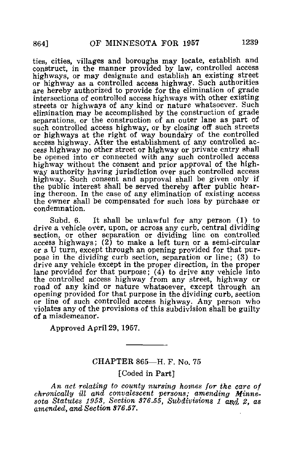ties, cities, villages and boroughs may locate, establish and construct, in the manner provided by law, controlled access highways, or may designate and establish an existing street or highway as a controlled access highway. Such authorities are hereby authorized to provide for the elimination of grade intersections of controlled access highways with other existing streets or highways of any kind or nature whatsoever. Such elimination may be accomplished by the construction of grade separations, or the construction of an outer lane as part of such controlled access highway, or by closing off such streets or highways at the right of way boundary of the controlled access highway. After the establishment of any controlled access highway no other street or highway or private entry shall be opened into or connected with any such controlled access highway without the consent and prior approval of the highway authority having jurisdiction over such controlled access highway. Such consent and approval shall be given only if the public interest shall be served thereby after public hearing thereon. In the case of any elimination of existing access the owner shall be compensated for such loss by purchase or condemnation.

Subd. 6. It shall be unlawful for any person (1) to drive a vehicle over, upon, or across any curb, central dividing section, or other separation or dividing line on controlled access highways;  $(2)$  to make a left turn or a semi-circular or a U turn, except through an opening provided for that purpose in the dividing curb section, separation or line; (3) to drive any vehicle except in the proper direction, in the proper lane provided for that purpose; (4) to drive any vehicle into the controlled access highway from any street, highway or road of any kind or nature whatsoever, except through an opening provided for that purpose in the dividing curb, section or line of such controlled access highway. Any person who violates any of the provisions of this subdivision shall be guilty of a misdemeanor.

Approved April 29, 1957.

## CHAPTER 865—H. F. No. 75

[Coded in Part]

An act relating to county nursing homes for the care of chronically ill and convalescent persons; amending Minnesota Statutes 1953, Section 376.55, Subdivisions 1 and 2, as amended, and Section 376.57.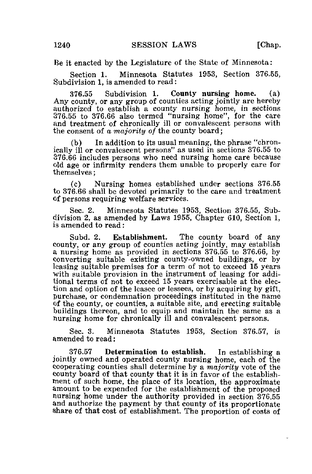Be it enacted by the Legislature of the State of Minnesota:

Section 1. Minnesota Statutes 1953, Section 376.55, Subdivision 1, is amended to read:

376.55 Subdivision 1. County nursing home. (a) Any county, or any group of counties acting jointly are hereby authorized to establish a county nursing home, in sections 376.55 to 376.66 also termed "nursing home", for the care and treatment of chronically ill or convalescent persons with the consent of a *majority of* the county board;

(b) In addition to its usual meaning, the phrase "chronically ill or convalescent persons" as used in sections 376.55 to 376.66 includes persons who need nursing home care because old age or infirmity renders them unable to properly care for themselves;

(c) Nursing homes established under sections 376.55 to 376.66 shall be devoted primarily to the care and treatment of persons requiring welfare services.

Sec. 2. Minnesota Statutes 1953, Section 376.55, Subdivision 2, as amended by Laws 1955, Chapter 610, Section 1, is amended to read:

Subd. 2. Establishment. The county board of any county, or any group of counties acting jointly, may establish a nursing home as provided in sections 376.55 to 376.66, by converting suitable existing county-owned buildings, or by leasing suitable premises for a term of not to exceed 15 years with suitable provision in the instrument of leasing for additional terms of not to exceed 15 years exercisable at the election and option of the leasee or lessees, or by acquiring by gift, purchase, or condemnation proceedings instituted in the name of the county, or counties, a suitable site, and erecting suitable buildings thereon, and to equip and maintain the same as a nursing home for chronically ill and convalescent persons.

Sec. 3. Minnesota Statutes 1953, Section 376.57, is amended to read:

376.57 Determination to establish. In establishing a jointly owned and operated county nursing home, each of the cooperating counties shall determine by a majority vote of the county board of that county that it is in favor of the establishment of such home, the place of its location, the approximate amount to be expended for the establishment of the proposed nursing home under the authority provided in section 376.55 and authorize the payment by that county of its proportionate share of that cost of establishment. The proportion of costs of